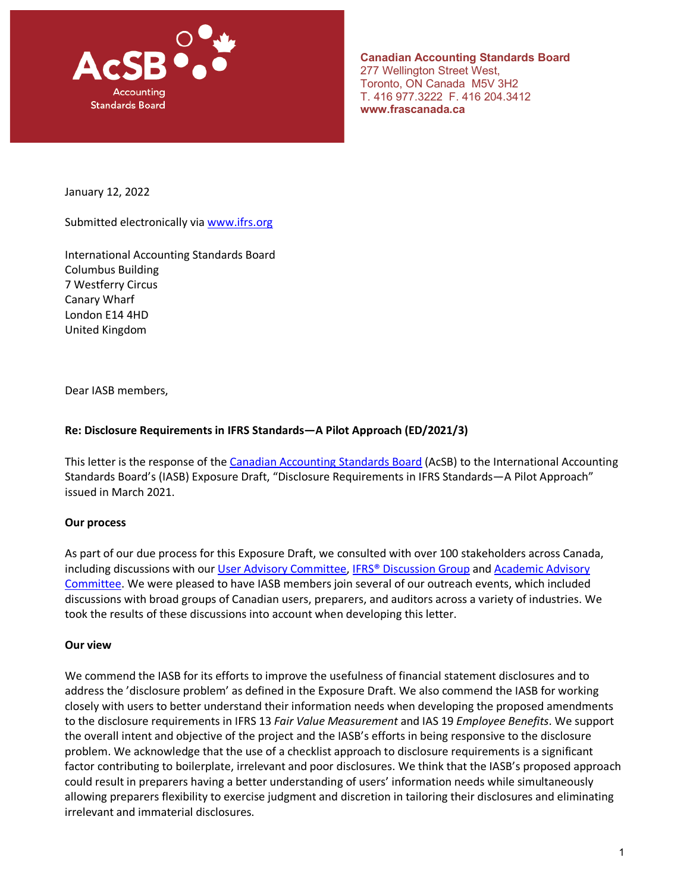

**Canadian Accounting Standards Board**  277 Wellington Street West, Toronto, ON Canada M5V 3H2 T. 416 977.3222 F. 416 204.3412 **www.frascanada.ca**

January 12, 2022

Submitted electronically via [www.ifrs.org](http://www.ifrs.org/)

International Accounting Standards Board Columbus Building 7 Westferry Circus Canary Wharf London E14 4HD United Kingdom

Dear IASB members,

#### **Re: Disclosure Requirements in IFRS Standards—A Pilot Approach (ED/2021/3)**

This letter is the response of the [Canadian Accounting Standards Board](https://www.frascanada.ca/en/acsb) (AcSB) to the International Accounting Standards Board's (IASB) Exposure Draft, "Disclosure Requirements in IFRS Standards—A Pilot Approach" issued in March 2021.

#### **Our process**

As part of our due process for this Exposure Draft, we consulted with over 100 stakeholders across Canada, including discussions with our [User Advisory Committee,](https://www.frascanada.ca/en/acsb/committees/uac) [IFRS® Discussion Group](https://www.frascanada.ca/en/acsb/committees/ifrsdg) and Academic Advisory [Committee.](https://www.frascanada.ca/en/acsb/committees/aac) We were pleased to have IASB members join several of our outreach events, which included discussions with broad groups of Canadian users, preparers, and auditors across a variety of industries. We took the results of these discussions into account when developing this letter.

#### **Our view**

We commend the IASB for its efforts to improve the usefulness of financial statement disclosures and to address the 'disclosure problem' as defined in the Exposure Draft. We also commend the IASB for working closely with users to better understand their information needs when developing the proposed amendments to the disclosure requirements in IFRS 13 *Fair Value Measurement* and IAS 19 *Employee Benefits*. We support the overall intent and objective of the project and the IASB's efforts in being responsive to the disclosure problem. We acknowledge that the use of a checklist approach to disclosure requirements is a significant factor contributing to boilerplate, irrelevant and poor disclosures. We think that the IASB's proposed approach could result in preparers having a better understanding of users' information needs while simultaneously allowing preparers flexibility to exercise judgment and discretion in tailoring their disclosures and eliminating irrelevant and immaterial disclosures.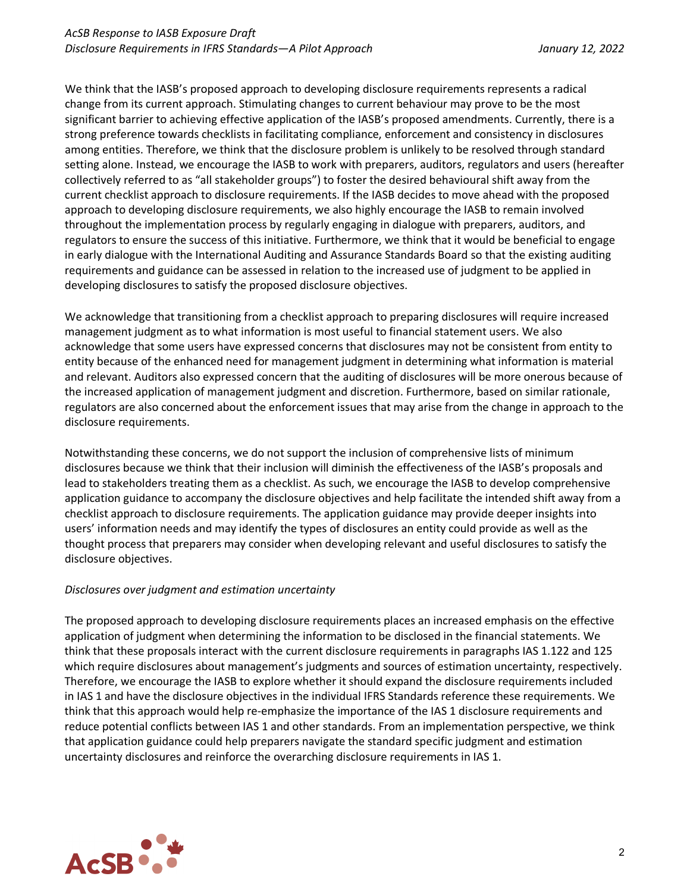We think that the IASB's proposed approach to developing disclosure requirements represents a radical change from its current approach. Stimulating changes to current behaviour may prove to be the most significant barrier to achieving effective application of the IASB's proposed amendments. Currently, there is a strong preference towards checklists in facilitating compliance, enforcement and consistency in disclosures among entities. Therefore, we think that the disclosure problem is unlikely to be resolved through standard setting alone. Instead, we encourage the IASB to work with preparers, auditors, regulators and users (hereafter collectively referred to as "all stakeholder groups") to foster the desired behavioural shift away from the current checklist approach to disclosure requirements. If the IASB decides to move ahead with the proposed approach to developing disclosure requirements, we also highly encourage the IASB to remain involved throughout the implementation process by regularly engaging in dialogue with preparers, auditors, and regulators to ensure the success of this initiative. Furthermore, we think that it would be beneficial to engage in early dialogue with the International Auditing and Assurance Standards Board so that the existing auditing requirements and guidance can be assessed in relation to the increased use of judgment to be applied in developing disclosures to satisfy the proposed disclosure objectives.

We acknowledge that transitioning from a checklist approach to preparing disclosures will require increased management judgment as to what information is most useful to financial statement users. We also acknowledge that some users have expressed concerns that disclosures may not be consistent from entity to entity because of the enhanced need for management judgment in determining what information is material and relevant. Auditors also expressed concern that the auditing of disclosures will be more onerous because of the increased application of management judgment and discretion. Furthermore, based on similar rationale, regulators are also concerned about the enforcement issues that may arise from the change in approach to the disclosure requirements.

Notwithstanding these concerns, we do not support the inclusion of comprehensive lists of minimum disclosures because we think that their inclusion will diminish the effectiveness of the IASB's proposals and lead to stakeholders treating them as a checklist. As such, we encourage the IASB to develop comprehensive application guidance to accompany the disclosure objectives and help facilitate the intended shift away from a checklist approach to disclosure requirements. The application guidance may provide deeper insights into users' information needs and may identify the types of disclosures an entity could provide as well as the thought process that preparers may consider when developing relevant and useful disclosures to satisfy the disclosure objectives.

# *Disclosures over judgment and estimation uncertainty*

The proposed approach to developing disclosure requirements places an increased emphasis on the effective application of judgment when determining the information to be disclosed in the financial statements. We think that these proposals interact with the current disclosure requirements in paragraphs IAS 1.122 and 125 which require disclosures about management's judgments and sources of estimation uncertainty, respectively. Therefore, we encourage the IASB to explore whether it should expand the disclosure requirements included in IAS 1 and have the disclosure objectives in the individual IFRS Standards reference these requirements. We think that this approach would help re-emphasize the importance of the IAS 1 disclosure requirements and reduce potential conflicts between IAS 1 and other standards. From an implementation perspective, we think that application guidance could help preparers navigate the standard specific judgment and estimation uncertainty disclosures and reinforce the overarching disclosure requirements in IAS 1.

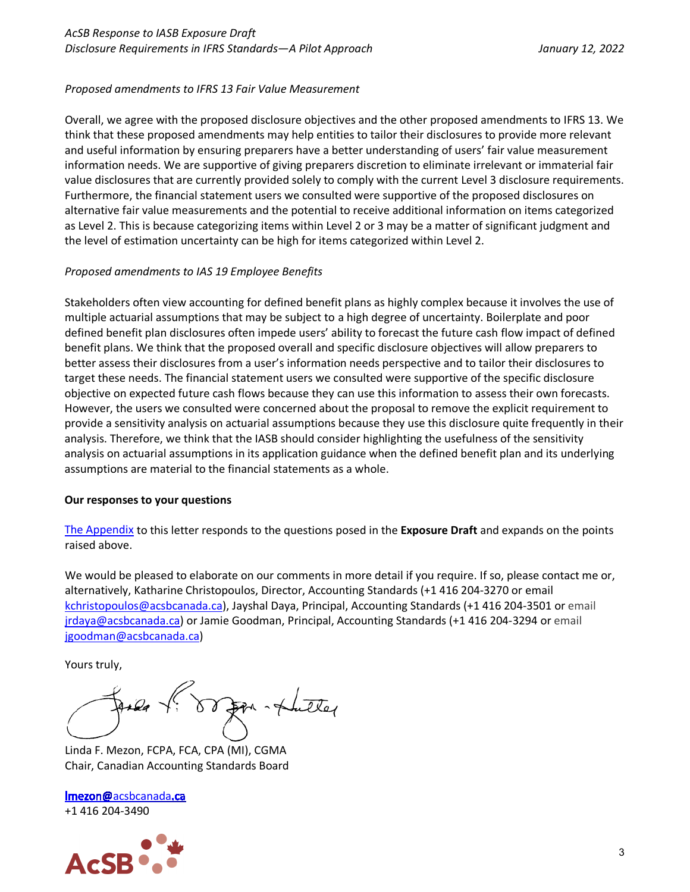## *Proposed amendments to IFRS 13 Fair Value Measurement*

Overall, we agree with the proposed disclosure objectives and the other proposed amendments to IFRS 13. We think that these proposed amendments may help entities to tailor their disclosures to provide more relevant and useful information by ensuring preparers have a better understanding of users' fair value measurement information needs. We are supportive of giving preparers discretion to eliminate irrelevant or immaterial fair value disclosures that are currently provided solely to comply with the current Level 3 disclosure requirements. Furthermore, the financial statement users we consulted were supportive of the proposed disclosures on alternative fair value measurements and the potential to receive additional information on items categorized as Level 2. This is because categorizing items within Level 2 or 3 may be a matter of significant judgment and the level of estimation uncertainty can be high for items categorized within Level 2.

## *Proposed amendments to IAS 19 Employee Benefits*

Stakeholders often view accounting for defined benefit plans as highly complex because it involves the use of multiple actuarial assumptions that may be subject to a high degree of uncertainty. Boilerplate and poor defined benefit plan disclosures often impede users' ability to forecast the future cash flow impact of defined benefit plans. We think that the proposed overall and specific disclosure objectives will allow preparers to better assess their disclosures from a user's information needs perspective and to tailor their disclosures to target these needs. The financial statement users we consulted were supportive of the specific disclosure objective on expected future cash flows because they can use this information to assess their own forecasts. However, the users we consulted were concerned about the proposal to remove the explicit requirement to provide a sensitivity analysis on actuarial assumptions because they use this disclosure quite frequently in their analysis. Therefore, we think that the IASB should consider highlighting the usefulness of the sensitivity analysis on actuarial assumptions in its application guidance when the defined benefit plan and its underlying assumptions are material to the financial statements as a whole.

#### **Our responses to your questions**

[The Appendix](#page-3-0) to this letter responds to the questions posed in the **Exposure Draft** and expands on the points raised above.

We would be pleased to elaborate on our comments in more detail if you require. If so, please contact me or, alternatively, Katharine Christopoulos, Director, Accounting Standards (+1 416 204-3270 or email [kchristopoulos@acsbcanada.ca\)](mailto:kchristopoulos@acsbcanada.ca), Jayshal Daya, Principal, Accounting Standards (+1 416 204-3501 or email [jrdaya@acsbcanada.ca\)](mailto:jrdaya@acsbcanada.ca) or Jamie Goodman, Principal, Accounting Standards (+1 416 204-3294 or email [jgoodman@acsbcanada.ca\)](mailto:jgoodman@acsbcanada.ca)

Yours truly,

Linda F. Mezon, FCPA, FCA, CPA (MI), CGMA Chair, Canadian Accounting Standards Board

Imezon@[acsbcanada](mailto:lmezon@acsbcanada.ca).ca +1 416 204-3490

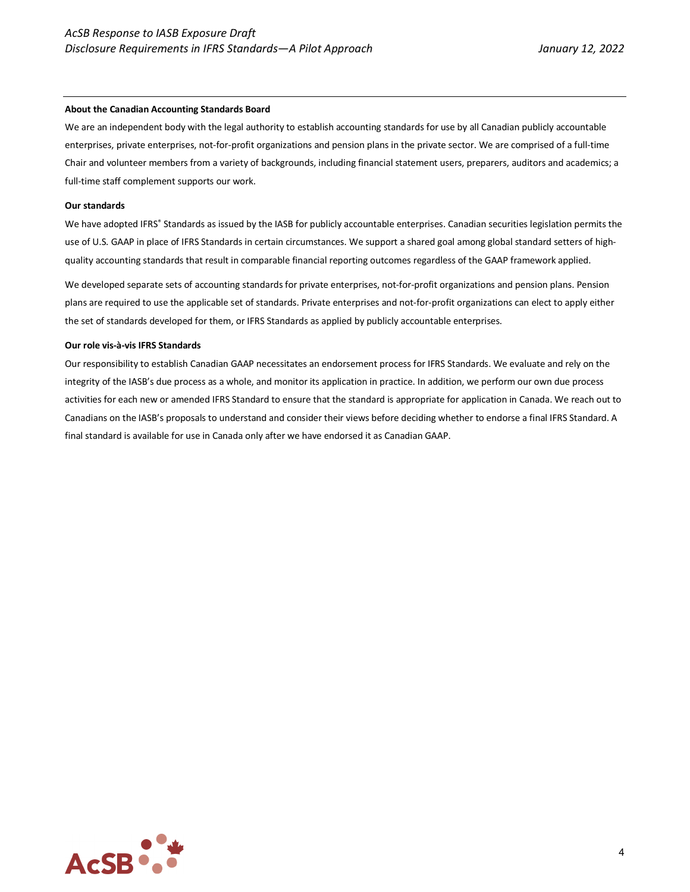#### **About the Canadian Accounting Standards Board**

We are an independent body with the legal authority to establish accounting standards for use by all Canadian publicly accountable enterprises, private enterprises, not-for-profit organizations and pension plans in the private sector. We are comprised of a full-time Chair and volunteer members from a variety of backgrounds, including financial statement users, preparers, auditors and academics; a full-time staff complement supports our work.

#### **Our standards**

We have adopted IFRS® Standards as issued by the IASB for publicly accountable enterprises. Canadian securities legislation permits the use of U.S. GAAP in place of IFRS Standards in certain circumstances. We support a shared goal among global standard setters of highquality accounting standards that result in comparable financial reporting outcomes regardless of the GAAP framework applied.

We developed separate sets of accounting standards for private enterprises, not-for-profit organizations and pension plans. Pension plans are required to use the applicable set of standards. Private enterprises and not-for-profit organizations can elect to apply either the set of standards developed for them, or IFRS Standards as applied by publicly accountable enterprises.

#### **Our role vis-à-vis IFRS Standards**

<span id="page-3-0"></span>Our responsibility to establish Canadian GAAP necessitates an endorsement process for IFRS Standards. We evaluate and rely on the integrity of the IASB's due process as a whole, and monitor its application in practice. In addition, we perform our own due process activities for each new or amended IFRS Standard to ensure that the standard is appropriate for application in Canada. We reach out to Canadians on the IASB's proposals to understand and consider their views before deciding whether to endorse a final IFRS Standard. A final standard is available for use in Canada only after we have endorsed it as Canadian GAAP.

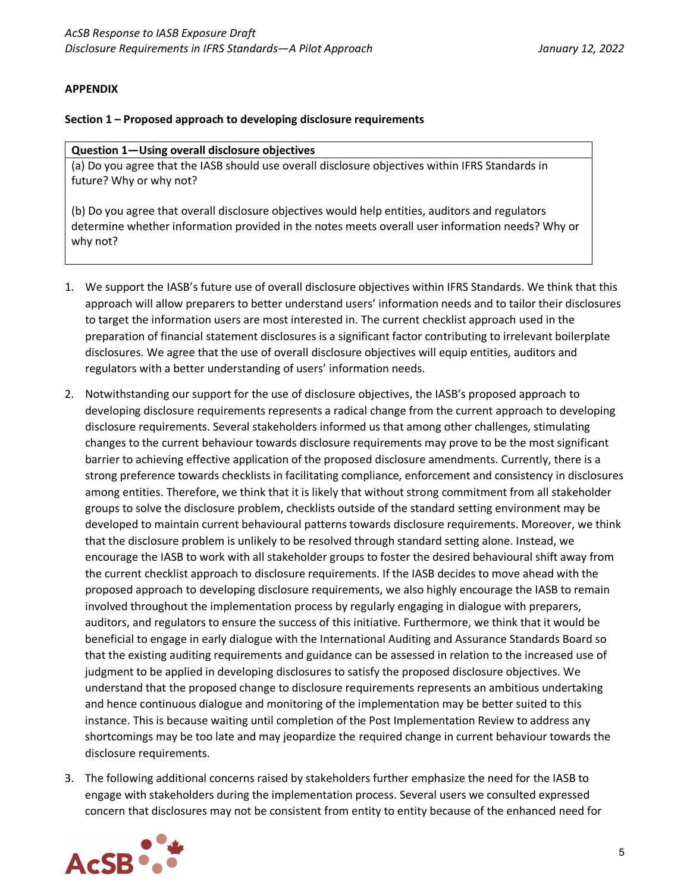#### **APPENDIX**

#### **Section 1 – Proposed approach to developing disclosure requirements**

#### **Question 1—Using overall disclosure objectives**

(a) Do you agree that the IASB should use overall disclosure objectives within IFRS Standards in future? Why or why not?

(b) Do you agree that overall disclosure objectives would help entities, auditors and regulators determine whether information provided in the notes meets overall user information needs? Why or why not?

- 1. We support the IASB's future use of overall disclosure objectives within IFRS Standards. We think that this approach will allow preparers to better understand users' information needs and to tailor their disclosures to target the information users are most interested in. The current checklist approach used in the preparation of financial statement disclosures is a significant factor contributing to irrelevant boilerplate disclosures. We agree that the use of overall disclosure objectives will equip entities, auditors and regulators with a better understanding of users' information needs.
- 2. Notwithstanding our support for the use of disclosure objectives, the IASB's proposed approach to developing disclosure requirements represents a radical change from the current approach to developing disclosure requirements. Several stakeholders informed us that among other challenges, stimulating changes to the current behaviour towards disclosure requirements may prove to be the most significant barrier to achieving effective application of the proposed disclosure amendments. Currently, there is a strong preference towards checklists in facilitating compliance, enforcement and consistency in disclosures among entities. Therefore, we think that it is likely that without strong commitment from all stakeholder groups to solve the disclosure problem, checklists outside of the standard setting environment may be developed to maintain current behavioural patterns towards disclosure requirements. Moreover, we think that the disclosure problem is unlikely to be resolved through standard setting alone. Instead, we encourage the IASB to work with all stakeholder groups to foster the desired behavioural shift away from the current checklist approach to disclosure requirements. If the IASB decides to move ahead with the proposed approach to developing disclosure requirements, we also highly encourage the IASB to remain involved throughout the implementation process by regularly engaging in dialogue with preparers, auditors, and regulators to ensure the success of this initiative. Furthermore, we think that it would be beneficial to engage in early dialogue with the International Auditing and Assurance Standards Board so that the existing auditing requirements and guidance can be assessed in relation to the increased use of judgment to be applied in developing disclosures to satisfy the proposed disclosure objectives. We understand that the proposed change to disclosure requirements represents an ambitious undertaking and hence continuous dialogue and monitoring of the implementation may be better suited to this instance. This is because waiting until completion of the Post Implementation Review to address any shortcomings may be too late and may jeopardize the required change in current behaviour towards the disclosure requirements.
- 3. The following additional concerns raised by stakeholders further emphasize the need for the IASB to engage with stakeholders during the implementation process. Several users we consulted expressed concern that disclosures may not be consistent from entity to entity because of the enhanced need for

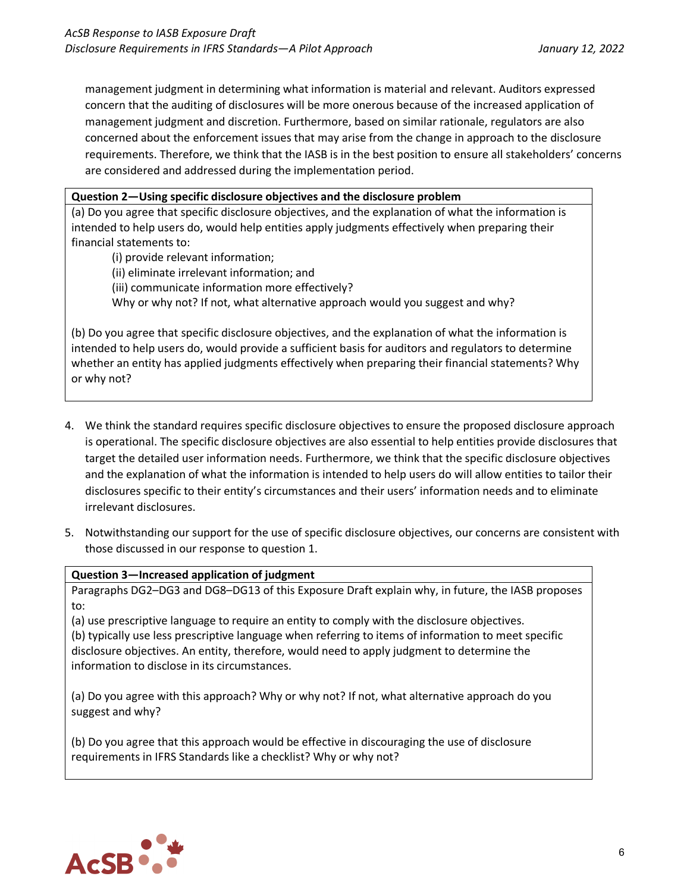management judgment in determining what information is material and relevant. Auditors expressed concern that the auditing of disclosures will be more onerous because of the increased application of management judgment and discretion. Furthermore, based on similar rationale, regulators are also concerned about the enforcement issues that may arise from the change in approach to the disclosure requirements. Therefore, we think that the IASB is in the best position to ensure all stakeholders' concerns are considered and addressed during the implementation period.

## **Question 2—Using specific disclosure objectives and the disclosure problem**

(a) Do you agree that specific disclosure objectives, and the explanation of what the information is intended to help users do, would help entities apply judgments effectively when preparing their financial statements to:

(i) provide relevant information; (ii) eliminate irrelevant information; and (iii) communicate information more effectively? Why or why not? If not, what alternative approach would you suggest and why?

(b) Do you agree that specific disclosure objectives, and the explanation of what the information is intended to help users do, would provide a sufficient basis for auditors and regulators to determine whether an entity has applied judgments effectively when preparing their financial statements? Why or why not?

- 4. We think the standard requires specific disclosure objectives to ensure the proposed disclosure approach is operational. The specific disclosure objectives are also essential to help entities provide disclosures that target the detailed user information needs. Furthermore, we think that the specific disclosure objectives and the explanation of what the information is intended to help users do will allow entities to tailor their disclosures specific to their entity's circumstances and their users' information needs and to eliminate irrelevant disclosures.
- 5. Notwithstanding our support for the use of specific disclosure objectives, our concerns are consistent with those discussed in our response to question 1.

#### **Question 3—Increased application of judgment**

Paragraphs DG2–DG3 and DG8–DG13 of this Exposure Draft explain why, in future, the IASB proposes to:

(a) use prescriptive language to require an entity to comply with the disclosure objectives. (b) typically use less prescriptive language when referring to items of information to meet specific disclosure objectives. An entity, therefore, would need to apply judgment to determine the information to disclose in its circumstances.

(a) Do you agree with this approach? Why or why not? If not, what alternative approach do you suggest and why?

(b) Do you agree that this approach would be effective in discouraging the use of disclosure requirements in IFRS Standards like a checklist? Why or why not?

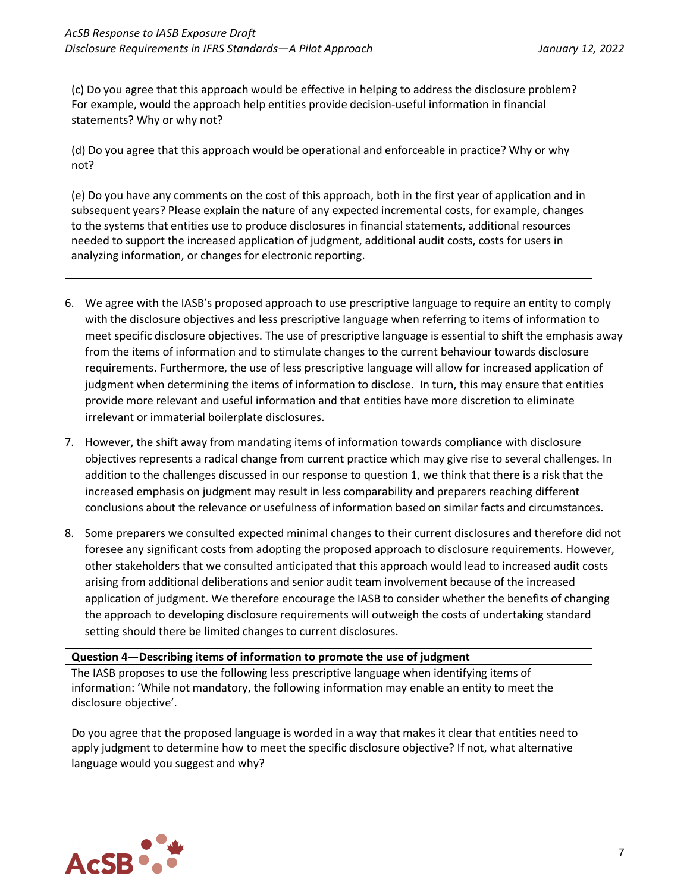(c) Do you agree that this approach would be effective in helping to address the disclosure problem? For example, would the approach help entities provide decision-useful information in financial statements? Why or why not?

(d) Do you agree that this approach would be operational and enforceable in practice? Why or why not?

(e) Do you have any comments on the cost of this approach, both in the first year of application and in subsequent years? Please explain the nature of any expected incremental costs, for example, changes to the systems that entities use to produce disclosures in financial statements, additional resources needed to support the increased application of judgment, additional audit costs, costs for users in analyzing information, or changes for electronic reporting.

- 6. We agree with the IASB's proposed approach to use prescriptive language to require an entity to comply with the disclosure objectives and less prescriptive language when referring to items of information to meet specific disclosure objectives. The use of prescriptive language is essential to shift the emphasis away from the items of information and to stimulate changes to the current behaviour towards disclosure requirements. Furthermore, the use of less prescriptive language will allow for increased application of judgment when determining the items of information to disclose. In turn, this may ensure that entities provide more relevant and useful information and that entities have more discretion to eliminate irrelevant or immaterial boilerplate disclosures.
- 7. However, the shift away from mandating items of information towards compliance with disclosure objectives represents a radical change from current practice which may give rise to several challenges. In addition to the challenges discussed in our response to question 1, we think that there is a risk that the increased emphasis on judgment may result in less comparability and preparers reaching different conclusions about the relevance or usefulness of information based on similar facts and circumstances.
- 8. Some preparers we consulted expected minimal changes to their current disclosures and therefore did not foresee any significant costs from adopting the proposed approach to disclosure requirements. However, other stakeholders that we consulted anticipated that this approach would lead to increased audit costs arising from additional deliberations and senior audit team involvement because of the increased application of judgment. We therefore encourage the IASB to consider whether the benefits of changing the approach to developing disclosure requirements will outweigh the costs of undertaking standard setting should there be limited changes to current disclosures.

#### **Question 4—Describing items of information to promote the use of judgment**

The IASB proposes to use the following less prescriptive language when identifying items of information: 'While not mandatory, the following information may enable an entity to meet the disclosure objective'.

Do you agree that the proposed language is worded in a way that makes it clear that entities need to apply judgment to determine how to meet the specific disclosure objective? If not, what alternative language would you suggest and why?

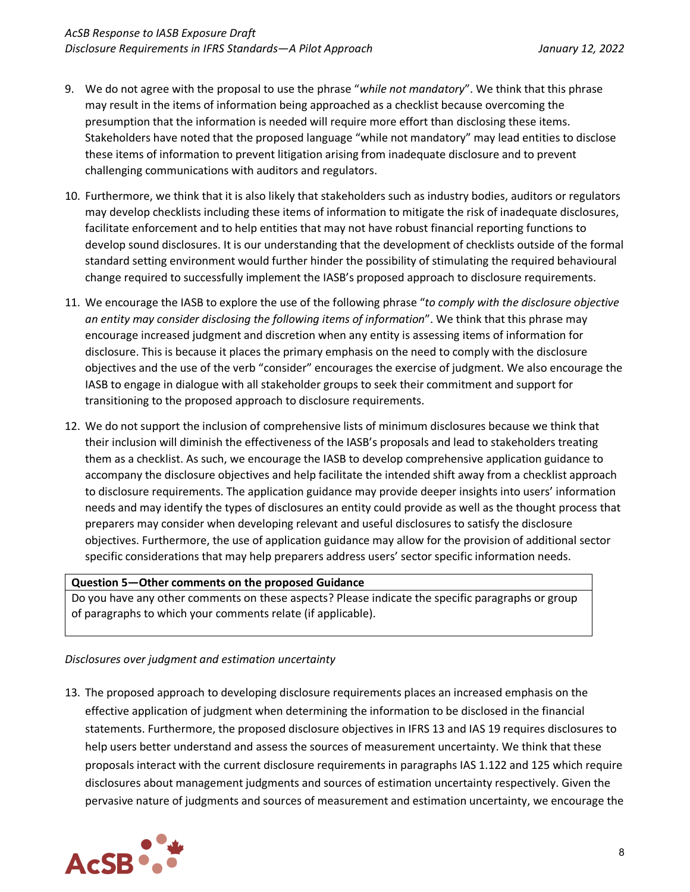- 9. We do not agree with the proposal to use the phrase "*while not mandatory*". We think that this phrase may result in the items of information being approached as a checklist because overcoming the presumption that the information is needed will require more effort than disclosing these items. Stakeholders have noted that the proposed language "while not mandatory" may lead entities to disclose these items of information to prevent litigation arising from inadequate disclosure and to prevent challenging communications with auditors and regulators.
- 10. Furthermore, we think that it is also likely that stakeholders such as industry bodies, auditors or regulators may develop checklists including these items of information to mitigate the risk of inadequate disclosures, facilitate enforcement and to help entities that may not have robust financial reporting functions to develop sound disclosures. It is our understanding that the development of checklists outside of the formal standard setting environment would further hinder the possibility of stimulating the required behavioural change required to successfully implement the IASB's proposed approach to disclosure requirements.
- 11. We encourage the IASB to explore the use of the following phrase "*to comply with the disclosure objective an entity may consider disclosing the following items of information*". We think that this phrase may encourage increased judgment and discretion when any entity is assessing items of information for disclosure. This is because it places the primary emphasis on the need to comply with the disclosure objectives and the use of the verb "consider" encourages the exercise of judgment. We also encourage the IASB to engage in dialogue with all stakeholder groups to seek their commitment and support for transitioning to the proposed approach to disclosure requirements.
- 12. We do not support the inclusion of comprehensive lists of minimum disclosures because we think that their inclusion will diminish the effectiveness of the IASB's proposals and lead to stakeholders treating them as a checklist. As such, we encourage the IASB to develop comprehensive application guidance to accompany the disclosure objectives and help facilitate the intended shift away from a checklist approach to disclosure requirements. The application guidance may provide deeper insights into users' information needs and may identify the types of disclosures an entity could provide as well as the thought process that preparers may consider when developing relevant and useful disclosures to satisfy the disclosure objectives. Furthermore, the use of application guidance may allow for the provision of additional sector specific considerations that may help preparers address users' sector specific information needs.

#### **Question 5—Other comments on the proposed Guidance**

Do you have any other comments on these aspects? Please indicate the specific paragraphs or group of paragraphs to which your comments relate (if applicable).

# *Disclosures over judgment and estimation uncertainty*

13. The proposed approach to developing disclosure requirements places an increased emphasis on the effective application of judgment when determining the information to be disclosed in the financial statements. Furthermore, the proposed disclosure objectives in IFRS 13 and IAS 19 requires disclosures to help users better understand and assess the sources of measurement uncertainty. We think that these proposals interact with the current disclosure requirements in paragraphs IAS 1.122 and 125 which require disclosures about management judgments and sources of estimation uncertainty respectively. Given the pervasive nature of judgments and sources of measurement and estimation uncertainty, we encourage the

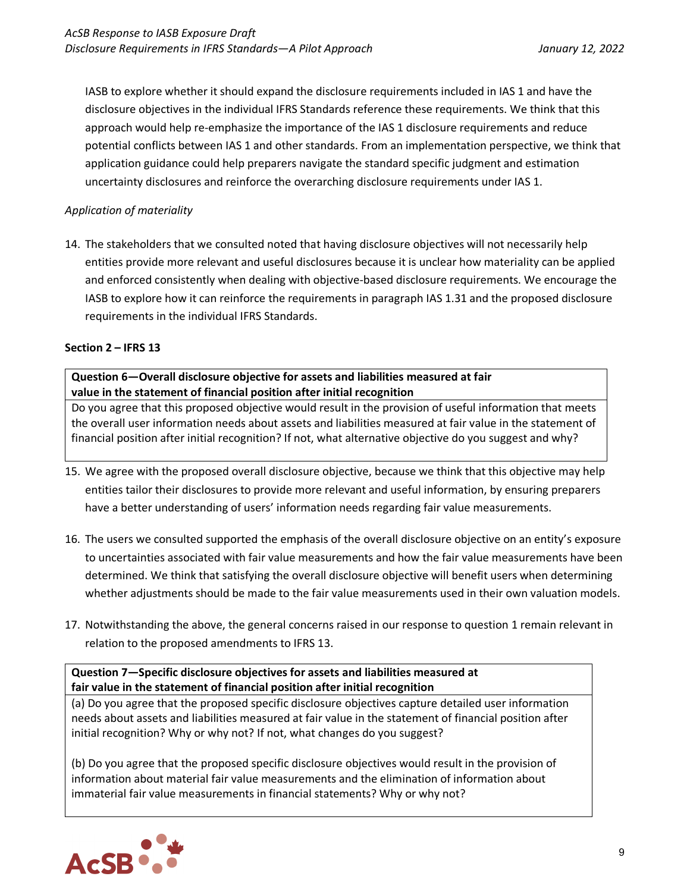IASB to explore whether it should expand the disclosure requirements included in IAS 1 and have the disclosure objectives in the individual IFRS Standards reference these requirements. We think that this approach would help re-emphasize the importance of the IAS 1 disclosure requirements and reduce potential conflicts between IAS 1 and other standards. From an implementation perspective, we think that application guidance could help preparers navigate the standard specific judgment and estimation uncertainty disclosures and reinforce the overarching disclosure requirements under IAS 1.

# *Application of materiality*

14. The stakeholders that we consulted noted that having disclosure objectives will not necessarily help entities provide more relevant and useful disclosures because it is unclear how materiality can be applied and enforced consistently when dealing with objective-based disclosure requirements. We encourage the IASB to explore how it can reinforce the requirements in paragraph IAS 1.31 and the proposed disclosure requirements in the individual IFRS Standards.

#### **Section 2 – IFRS 13**

## **Question 6—Overall disclosure objective for assets and liabilities measured at fair value in the statement of financial position after initial recognition**

Do you agree that this proposed objective would result in the provision of useful information that meets the overall user information needs about assets and liabilities measured at fair value in the statement of financial position after initial recognition? If not, what alternative objective do you suggest and why?

- 15. We agree with the proposed overall disclosure objective, because we think that this objective may help entities tailor their disclosures to provide more relevant and useful information, by ensuring preparers have a better understanding of users' information needs regarding fair value measurements.
- 16. The users we consulted supported the emphasis of the overall disclosure objective on an entity's exposure to uncertainties associated with fair value measurements and how the fair value measurements have been determined. We think that satisfying the overall disclosure objective will benefit users when determining whether adjustments should be made to the fair value measurements used in their own valuation models.
- 17. Notwithstanding the above, the general concerns raised in our response to question 1 remain relevant in relation to the proposed amendments to IFRS 13.

## **Question 7—Specific disclosure objectives for assets and liabilities measured at fair value in the statement of financial position after initial recognition**

(a) Do you agree that the proposed specific disclosure objectives capture detailed user information needs about assets and liabilities measured at fair value in the statement of financial position after initial recognition? Why or why not? If not, what changes do you suggest?

(b) Do you agree that the proposed specific disclosure objectives would result in the provision of information about material fair value measurements and the elimination of information about immaterial fair value measurements in financial statements? Why or why not?

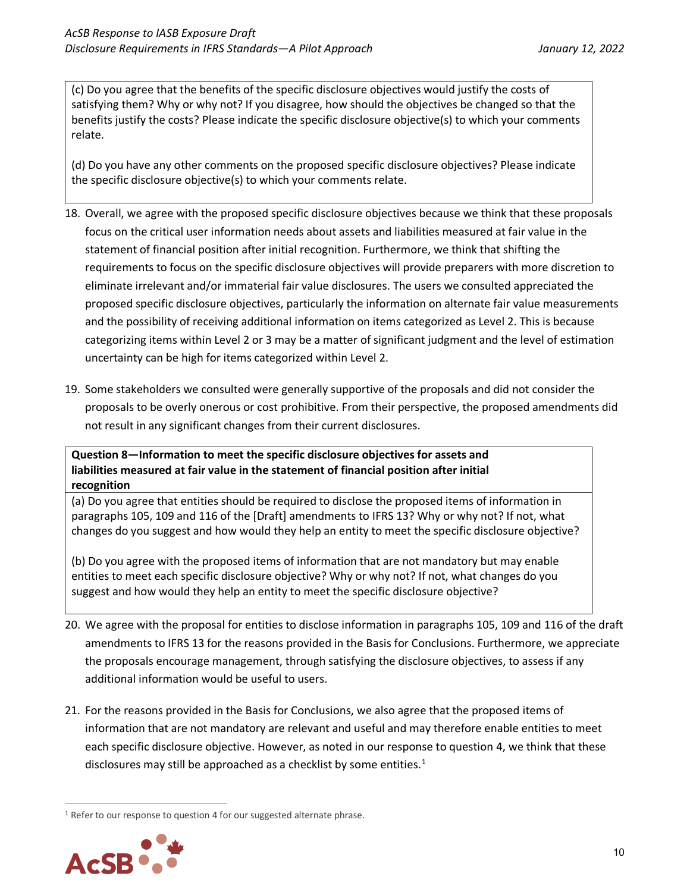(c) Do you agree that the benefits of the specific disclosure objectives would justify the costs of satisfying them? Why or why not? If you disagree, how should the objectives be changed so that the benefits justify the costs? Please indicate the specific disclosure objective(s) to which your comments relate.

(d) Do you have any other comments on the proposed specific disclosure objectives? Please indicate the specific disclosure objective(s) to which your comments relate.

- 18. Overall, we agree with the proposed specific disclosure objectives because we think that these proposals focus on the critical user information needs about assets and liabilities measured at fair value in the statement of financial position after initial recognition. Furthermore, we think that shifting the requirements to focus on the specific disclosure objectives will provide preparers with more discretion to eliminate irrelevant and/or immaterial fair value disclosures. The users we consulted appreciated the proposed specific disclosure objectives, particularly the information on alternate fair value measurements and the possibility of receiving additional information on items categorized as Level 2. This is because categorizing items within Level 2 or 3 may be a matter of significant judgment and the level of estimation uncertainty can be high for items categorized within Level 2.
- 19. Some stakeholders we consulted were generally supportive of the proposals and did not consider the proposals to be overly onerous or cost prohibitive. From their perspective, the proposed amendments did not result in any significant changes from their current disclosures.

**Question 8—Information to meet the specific disclosure objectives for assets and liabilities measured at fair value in the statement of financial position after initial recognition**

(a) Do you agree that entities should be required to disclose the proposed items of information in paragraphs 105, 109 and 116 of the [Draft] amendments to IFRS 13? Why or why not? If not, what changes do you suggest and how would they help an entity to meet the specific disclosure objective?

(b) Do you agree with the proposed items of information that are not mandatory but may enable entities to meet each specific disclosure objective? Why or why not? If not, what changes do you suggest and how would they help an entity to meet the specific disclosure objective?

- 20. We agree with the proposal for entities to disclose information in paragraphs 105, 109 and 116 of the draft amendments to IFRS 13 for the reasons provided in the Basis for Conclusions. Furthermore, we appreciate the proposals encourage management, through satisfying the disclosure objectives, to assess if any additional information would be useful to users.
- 21. For the reasons provided in the Basis for Conclusions, we also agree that the proposed items of information that are not mandatory are relevant and useful and may therefore enable entities to meet each specific disclosure objective. However, as noted in our response to question 4, we think that these disclosures may still be approached as a checklist by some entities.<sup>[1](#page-9-0)</sup>

<span id="page-9-0"></span><sup>&</sup>lt;sup>1</sup> Refer to our response to question 4 for our suggested alternate phrase.

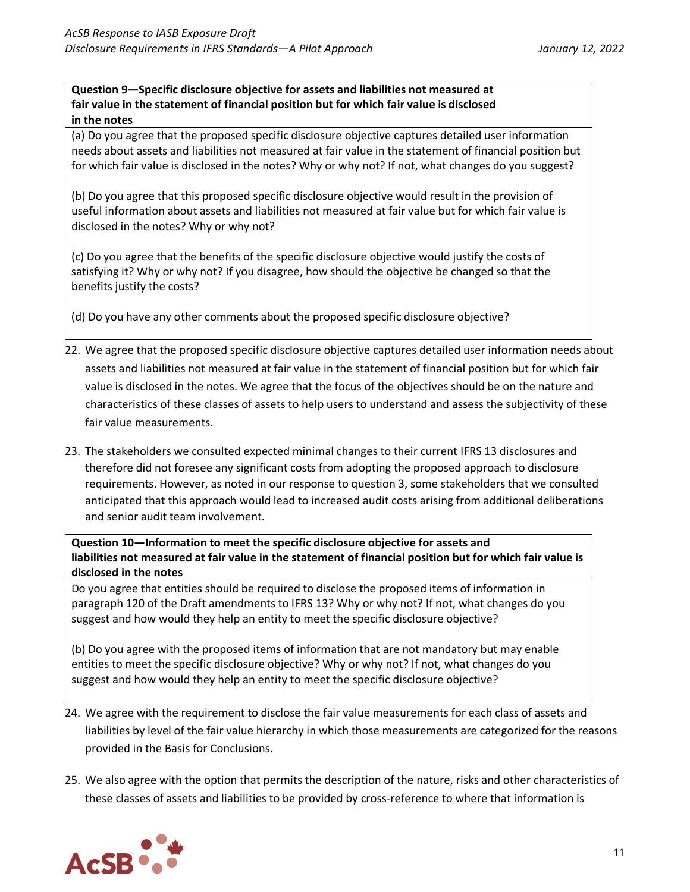**Question 9—Specific disclosure objective for assets and liabilities not measured at fair value in the statement of financial position but for which fair value is disclosed in the notes**

(a) Do you agree that the proposed specific disclosure objective captures detailed user information needs about assets and liabilities not measured at fair value in the statement of financial position but for which fair value is disclosed in the notes? Why or why not? If not, what changes do you suggest?

(b) Do you agree that this proposed specific disclosure objective would result in the provision of useful information about assets and liabilities not measured at fair value but for which fair value is disclosed in the notes? Why or why not?

(c) Do you agree that the benefits of the specific disclosure objective would justify the costs of satisfying it? Why or why not? If you disagree, how should the objective be changed so that the benefits justify the costs?

(d) Do you have any other comments about the proposed specific disclosure objective?

- 22. We agree that the proposed specific disclosure objective captures detailed user information needs about assets and liabilities not measured at fair value in the statement of financial position but for which fair value is disclosed in the notes. We agree that the focus of the objectives should be on the nature and characteristics of these classes of assets to help users to understand and assess the subjectivity of these fair value measurements.
- 23. The stakeholders we consulted expected minimal changes to their current IFRS 13 disclosures and therefore did not foresee any significant costs from adopting the proposed approach to disclosure requirements. However, as noted in our response to question 3, some stakeholders that we consulted anticipated that this approach would lead to increased audit costs arising from additional deliberations and senior audit team involvement.

**Question 10—Information to meet the specific disclosure objective for assets and liabilities not measured at fair value in the statement of financial position but for which fair value is disclosed in the notes**

Do you agree that entities should be required to disclose the proposed items of information in paragraph 120 of the Draft amendments to IFRS 13? Why or why not? If not, what changes do you suggest and how would they help an entity to meet the specific disclosure objective?

(b) Do you agree with the proposed items of information that are not mandatory but may enable entities to meet the specific disclosure objective? Why or why not? If not, what changes do you suggest and how would they help an entity to meet the specific disclosure objective?

- 24. We agree with the requirement to disclose the fair value measurements for each class of assets and liabilities by level of the fair value hierarchy in which those measurements are categorized for the reasons provided in the Basis for Conclusions.
- 25. We also agree with the option that permits the description of the nature, risks and other characteristics of these classes of assets and liabilities to be provided by cross-reference to where that information is

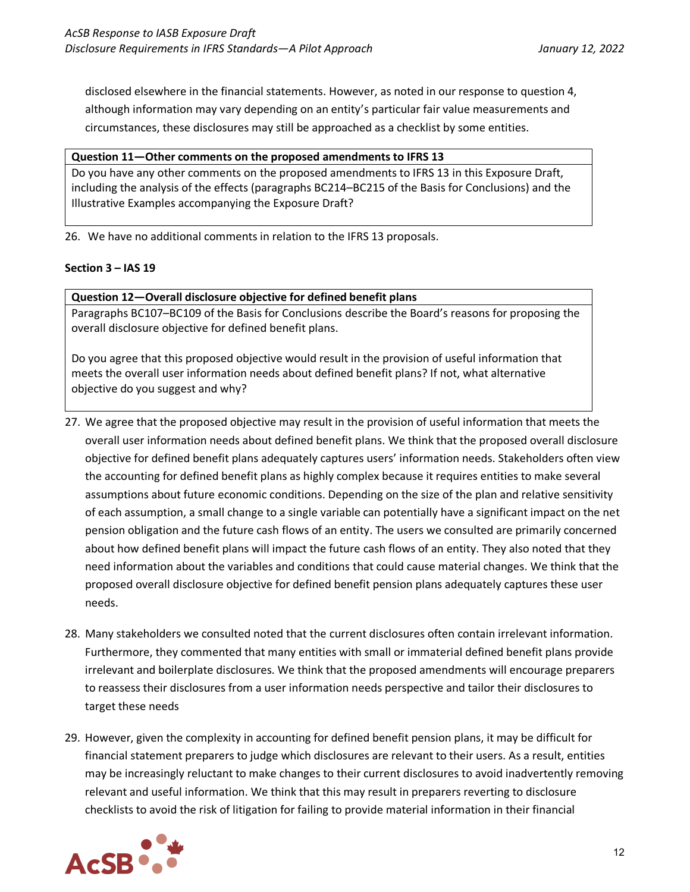disclosed elsewhere in the financial statements. However, as noted in our response to question 4, although information may vary depending on an entity's particular fair value measurements and circumstances, these disclosures may still be approached as a checklist by some entities.

## **Question 11—Other comments on the proposed amendments to IFRS 13**

Do you have any other comments on the proposed amendments to IFRS 13 in this Exposure Draft, including the analysis of the effects (paragraphs BC214–BC215 of the Basis for Conclusions) and the Illustrative Examples accompanying the Exposure Draft?

26. We have no additional comments in relation to the IFRS 13 proposals.

## **Section 3 – IAS 19**

**Question 12—Overall disclosure objective for defined benefit plans**

Paragraphs BC107–BC109 of the Basis for Conclusions describe the Board's reasons for proposing the overall disclosure objective for defined benefit plans.

Do you agree that this proposed objective would result in the provision of useful information that meets the overall user information needs about defined benefit plans? If not, what alternative objective do you suggest and why?

- 27. We agree that the proposed objective may result in the provision of useful information that meets the overall user information needs about defined benefit plans. We think that the proposed overall disclosure objective for defined benefit plans adequately captures users' information needs. Stakeholders often view the accounting for defined benefit plans as highly complex because it requires entities to make several assumptions about future economic conditions. Depending on the size of the plan and relative sensitivity of each assumption, a small change to a single variable can potentially have a significant impact on the net pension obligation and the future cash flows of an entity. The users we consulted are primarily concerned about how defined benefit plans will impact the future cash flows of an entity. They also noted that they need information about the variables and conditions that could cause material changes. We think that the proposed overall disclosure objective for defined benefit pension plans adequately captures these user needs.
- 28. Many stakeholders we consulted noted that the current disclosures often contain irrelevant information. Furthermore, they commented that many entities with small or immaterial defined benefit plans provide irrelevant and boilerplate disclosures. We think that the proposed amendments will encourage preparers to reassess their disclosures from a user information needs perspective and tailor their disclosures to target these needs
- 29. However, given the complexity in accounting for defined benefit pension plans, it may be difficult for financial statement preparers to judge which disclosures are relevant to their users. As a result, entities may be increasingly reluctant to make changes to their current disclosures to avoid inadvertently removing relevant and useful information. We think that this may result in preparers reverting to disclosure checklists to avoid the risk of litigation for failing to provide material information in their financial

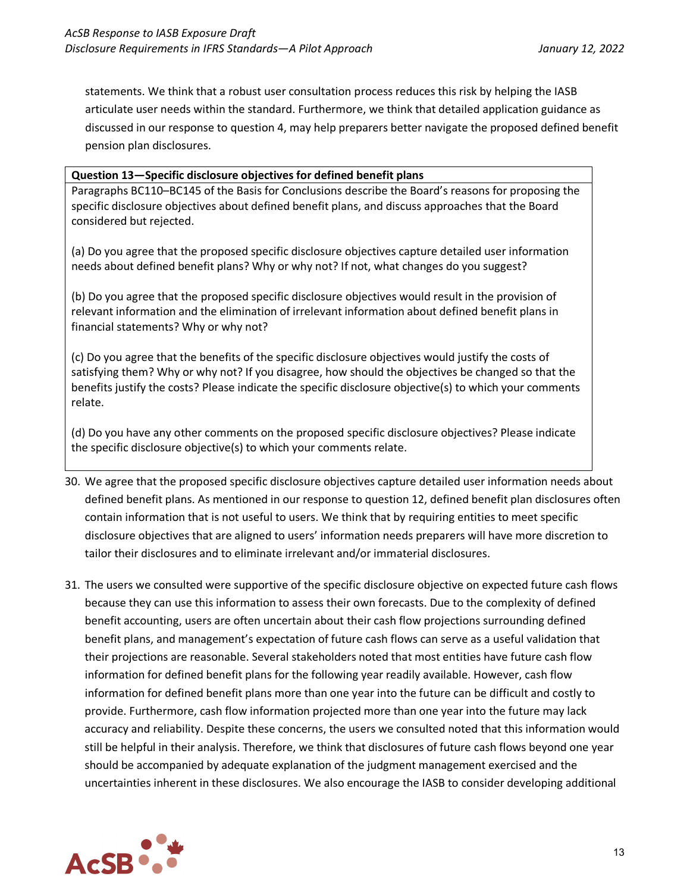statements. We think that a robust user consultation process reduces this risk by helping the IASB articulate user needs within the standard. Furthermore, we think that detailed application guidance as discussed in our response to question 4, may help preparers better navigate the proposed defined benefit pension plan disclosures.

#### **Question 13—Specific disclosure objectives for defined benefit plans**

Paragraphs BC110–BC145 of the Basis for Conclusions describe the Board's reasons for proposing the specific disclosure objectives about defined benefit plans, and discuss approaches that the Board considered but rejected.

(a) Do you agree that the proposed specific disclosure objectives capture detailed user information needs about defined benefit plans? Why or why not? If not, what changes do you suggest?

(b) Do you agree that the proposed specific disclosure objectives would result in the provision of relevant information and the elimination of irrelevant information about defined benefit plans in financial statements? Why or why not?

(c) Do you agree that the benefits of the specific disclosure objectives would justify the costs of satisfying them? Why or why not? If you disagree, how should the objectives be changed so that the benefits justify the costs? Please indicate the specific disclosure objective(s) to which your comments relate.

(d) Do you have any other comments on the proposed specific disclosure objectives? Please indicate the specific disclosure objective(s) to which your comments relate.

- 30. We agree that the proposed specific disclosure objectives capture detailed user information needs about defined benefit plans. As mentioned in our response to question 12, defined benefit plan disclosures often contain information that is not useful to users. We think that by requiring entities to meet specific disclosure objectives that are aligned to users' information needs preparers will have more discretion to tailor their disclosures and to eliminate irrelevant and/or immaterial disclosures.
- 31. The users we consulted were supportive of the specific disclosure objective on expected future cash flows because they can use this information to assess their own forecasts. Due to the complexity of defined benefit accounting, users are often uncertain about their cash flow projections surrounding defined benefit plans, and management's expectation of future cash flows can serve as a useful validation that their projections are reasonable. Several stakeholders noted that most entities have future cash flow information for defined benefit plans for the following year readily available. However, cash flow information for defined benefit plans more than one year into the future can be difficult and costly to provide. Furthermore, cash flow information projected more than one year into the future may lack accuracy and reliability. Despite these concerns, the users we consulted noted that this information would still be helpful in their analysis. Therefore, we think that disclosures of future cash flows beyond one year should be accompanied by adequate explanation of the judgment management exercised and the uncertainties inherent in these disclosures. We also encourage the IASB to consider developing additional

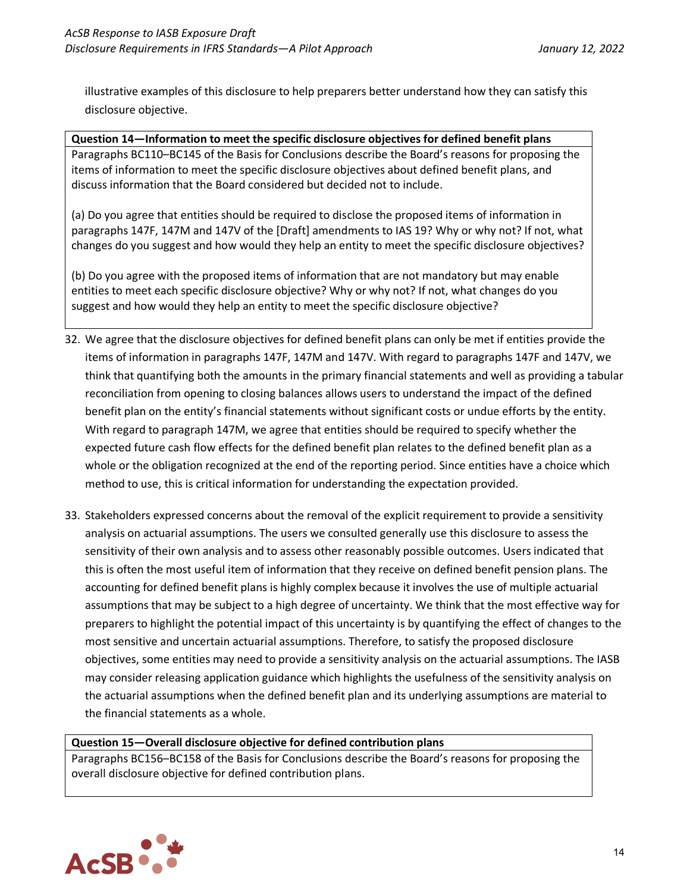illustrative examples of this disclosure to help preparers better understand how they can satisfy this disclosure objective.

# **Question 14—Information to meet the specific disclosure objectives for defined benefit plans** Paragraphs BC110–BC145 of the Basis for Conclusions describe the Board's reasons for proposing the items of information to meet the specific disclosure objectives about defined benefit plans, and discuss information that the Board considered but decided not to include.

(a) Do you agree that entities should be required to disclose the proposed items of information in paragraphs 147F, 147M and 147V of the [Draft] amendments to IAS 19? Why or why not? If not, what changes do you suggest and how would they help an entity to meet the specific disclosure objectives?

(b) Do you agree with the proposed items of information that are not mandatory but may enable entities to meet each specific disclosure objective? Why or why not? If not, what changes do you suggest and how would they help an entity to meet the specific disclosure objective?

- 32. We agree that the disclosure objectives for defined benefit plans can only be met if entities provide the items of information in paragraphs 147F, 147M and 147V. With regard to paragraphs 147F and 147V, we think that quantifying both the amounts in the primary financial statements and well as providing a tabular reconciliation from opening to closing balances allows users to understand the impact of the defined benefit plan on the entity's financial statements without significant costs or undue efforts by the entity. With regard to paragraph 147M, we agree that entities should be required to specify whether the expected future cash flow effects for the defined benefit plan relates to the defined benefit plan as a whole or the obligation recognized at the end of the reporting period. Since entities have a choice which method to use, this is critical information for understanding the expectation provided.
- 33. Stakeholders expressed concerns about the removal of the explicit requirement to provide a sensitivity analysis on actuarial assumptions. The users we consulted generally use this disclosure to assess the sensitivity of their own analysis and to assess other reasonably possible outcomes. Users indicated that this is often the most useful item of information that they receive on defined benefit pension plans. The accounting for defined benefit plans is highly complex because it involves the use of multiple actuarial assumptions that may be subject to a high degree of uncertainty. We think that the most effective way for preparers to highlight the potential impact of this uncertainty is by quantifying the effect of changes to the most sensitive and uncertain actuarial assumptions. Therefore, to satisfy the proposed disclosure objectives, some entities may need to provide a sensitivity analysis on the actuarial assumptions. The IASB may consider releasing application guidance which highlights the usefulness of the sensitivity analysis on the actuarial assumptions when the defined benefit plan and its underlying assumptions are material to the financial statements as a whole.

#### **Question 15—Overall disclosure objective for defined contribution plans**

Paragraphs BC156–BC158 of the Basis for Conclusions describe the Board's reasons for proposing the overall disclosure objective for defined contribution plans.

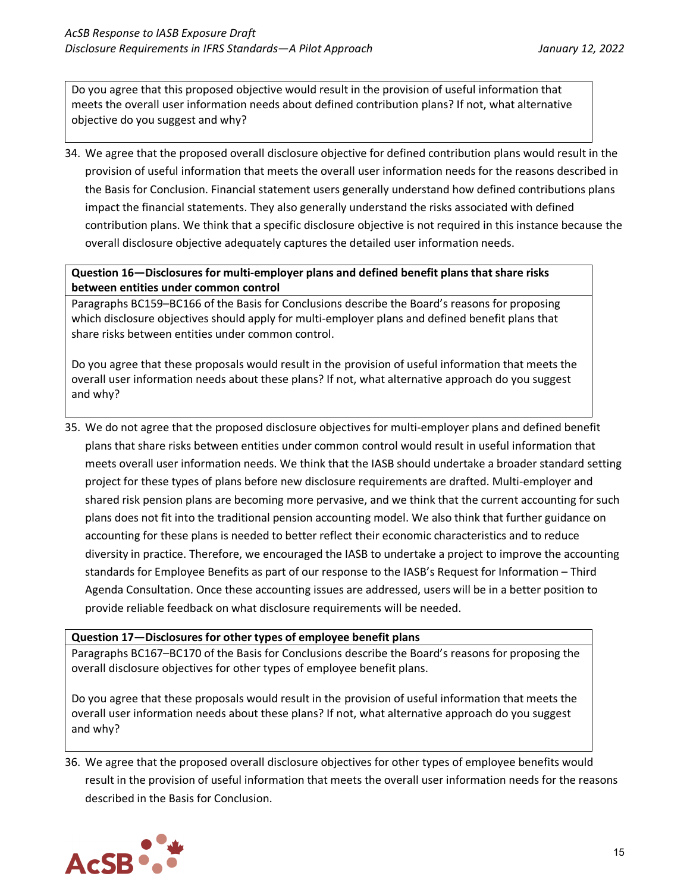Do you agree that this proposed objective would result in the provision of useful information that meets the overall user information needs about defined contribution plans? If not, what alternative objective do you suggest and why?

34. We agree that the proposed overall disclosure objective for defined contribution plans would result in the provision of useful information that meets the overall user information needs for the reasons described in the Basis for Conclusion. Financial statement users generally understand how defined contributions plans impact the financial statements. They also generally understand the risks associated with defined contribution plans. We think that a specific disclosure objective is not required in this instance because the overall disclosure objective adequately captures the detailed user information needs.

# **Question 16—Disclosures for multi-employer plans and defined benefit plans that share risks between entities under common control**

Paragraphs BC159–BC166 of the Basis for Conclusions describe the Board's reasons for proposing which disclosure objectives should apply for multi-employer plans and defined benefit plans that share risks between entities under common control.

Do you agree that these proposals would result in the provision of useful information that meets the overall user information needs about these plans? If not, what alternative approach do you suggest and why?

35. We do not agree that the proposed disclosure objectives for multi-employer plans and defined benefit plans that share risks between entities under common control would result in useful information that meets overall user information needs. We think that the IASB should undertake a broader standard setting project for these types of plans before new disclosure requirements are drafted. Multi-employer and shared risk pension plans are becoming more pervasive, and we think that the current accounting for such plans does not fit into the traditional pension accounting model. We also think that further guidance on accounting for these plans is needed to better reflect their economic characteristics and to reduce diversity in practice. Therefore, we encouraged the IASB to undertake a project to improve the accounting standards for Employee Benefits as part of our response to the IASB's Request for Information – Third Agenda Consultation. Once these accounting issues are addressed, users will be in a better position to provide reliable feedback on what disclosure requirements will be needed.

#### **Question 17—Disclosures for other types of employee benefit plans**

Paragraphs BC167–BC170 of the Basis for Conclusions describe the Board's reasons for proposing the overall disclosure objectives for other types of employee benefit plans.

Do you agree that these proposals would result in the provision of useful information that meets the overall user information needs about these plans? If not, what alternative approach do you suggest and why?

36. We agree that the proposed overall disclosure objectives for other types of employee benefits would result in the provision of useful information that meets the overall user information needs for the reasons described in the Basis for Conclusion.